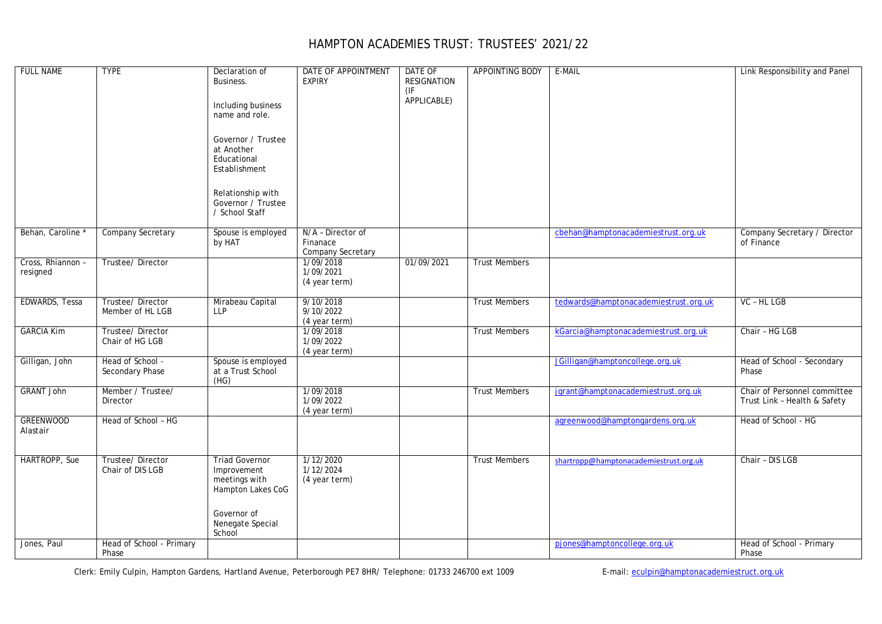## HAMPTON ACADEMIES TRUST: TRUSTEES' 2021/22

| <b>FULL NAME</b>              | <b>TYPE</b>                          | Declaration of<br>Business.<br>Including business<br>name and role.<br>Governor / Trustee<br>at Another<br>Educational<br>Establishment<br>Relationship with<br>Governor / Trustee<br>/ School Staff | DATE OF APPOINTMENT<br><b>EXPIRY</b>               | DATE OF<br><b>RESIGNATION</b><br>(IF)<br>APPLICABLE) | <b>APPOINTING BODY</b> | E-MAIL                                 | Link Responsibility and Panel                                |
|-------------------------------|--------------------------------------|------------------------------------------------------------------------------------------------------------------------------------------------------------------------------------------------------|----------------------------------------------------|------------------------------------------------------|------------------------|----------------------------------------|--------------------------------------------------------------|
| Behan, Caroline               | <b>Company Secretary</b>             | Spouse is employed<br>by HAT                                                                                                                                                                         | N/A - Director of<br>Finanace<br>Company Secretary |                                                      |                        | cbehan@hamptonacademiestrust.org.uk    | Company Secretary / Director<br>of Finance                   |
| Cross, Rhiannon -<br>resigned | Trustee/Director                     |                                                                                                                                                                                                      | 1/09/2018<br>1/09/2021<br>(4 year term)            | 01/09/2021                                           | <b>Trust Members</b>   |                                        |                                                              |
| EDWARDS, Tessa                | Trustee/Director<br>Member of HL LGB | Mirabeau Capital<br><b>LLP</b>                                                                                                                                                                       | 9/10/2018<br>9/10/2022<br>(4 year term)            |                                                      | <b>Trust Members</b>   | tedwards@hamptonacademiestrust.org.uk  | VC - HL LGB                                                  |
| <b>GARCIA Kim</b>             | Trustee/Director<br>Chair of HG LGB  |                                                                                                                                                                                                      | 1/09/2018<br>1/09/2022<br>(4 year term)            |                                                      | <b>Trust Members</b>   | kGarcia@hamptonacademiestrust.org.uk   | Chair - HG LGB                                               |
| Gilligan, John                | Head of School -<br>Secondary Phase  | Spouse is employed<br>at a Trust School<br>(HG)                                                                                                                                                      |                                                    |                                                      |                        | JGilligan@hamptoncollege.org.uk        | Head of School - Secondary<br>Phase                          |
| <b>GRANT John</b>             | Member / Trustee/<br>Director        |                                                                                                                                                                                                      | 1/09/2018<br>1/09/2022<br>(4 year term)            |                                                      | <b>Trust Members</b>   | jgrant@hamptonacademiestrust.org.uk    | Chair of Personnel committee<br>Trust Link - Health & Safety |
| <b>GREENWOOD</b><br>Alastair  | Head of School - HG                  |                                                                                                                                                                                                      |                                                    |                                                      |                        | agreenwood@hamptongardens.org.uk       | Head of School - HG                                          |
| HARTROPP, Sue                 | Trustee/Director<br>Chair of DIS LGB | <b>Triad Governor</b><br>Improvement<br>meetings with<br>Hampton Lakes CoG<br>Governor of<br>Nenegate Special<br>School                                                                              | 1/12/2020<br>1/12/2024<br>(4 year term)            |                                                      | <b>Trust Members</b>   | shartropp@hamptonacademiestrust.org.uk | Chair - DIS LGB                                              |
| Jones, Paul                   | Head of School - Primary<br>Phase    |                                                                                                                                                                                                      |                                                    |                                                      |                        | pjones@hamptoncollege.org.uk           | Head of School - Primary<br>Phase                            |

Clerk: Emily Culpin, Hampton Gardens, Hartland Avenue, Peterborough PE7 8HR/ Telephone: 01733 246700 ext 1009 E-mail: [eculpin@hamptonacademiestruct.org.uk](mailto:eculpin@hamptonacademiestruct.org.uk)